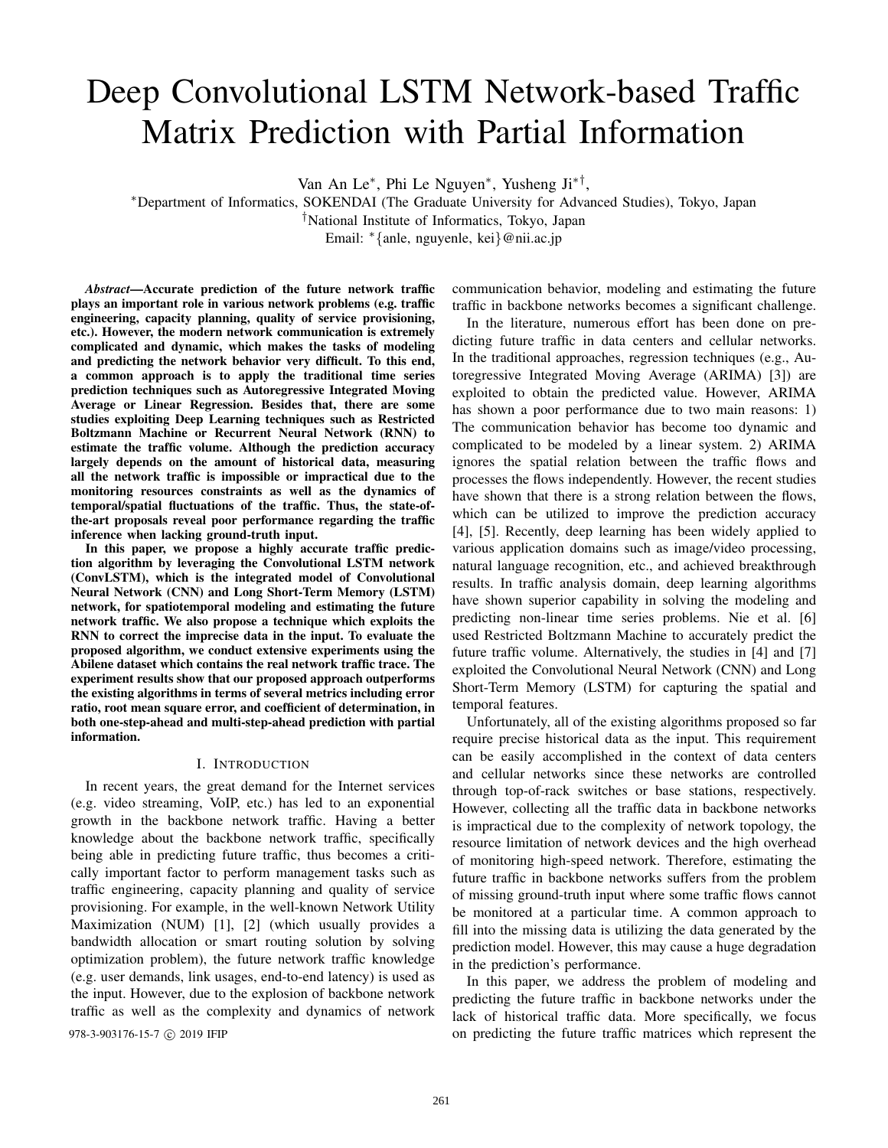# Deep Convolutional LSTM Network-based Traffic Matrix Prediction with Partial Information

Van An Le<sup>∗</sup> , Phi Le Nguyen<sup>∗</sup> , Yusheng Ji∗† ,

<sup>∗</sup>Department of Informatics, SOKENDAI (The Graduate University for Advanced Studies), Tokyo, Japan †National Institute of Informatics, Tokyo, Japan Email: <sup>∗</sup>{anle, nguyenle, kei}@nii.ac.jp

*Abstract*—Accurate prediction of the future network traffic plays an important role in various network problems (e.g. traffic engineering, capacity planning, quality of service provisioning, etc.). However, the modern network communication is extremely complicated and dynamic, which makes the tasks of modeling and predicting the network behavior very difficult. To this end, a common approach is to apply the traditional time series prediction techniques such as Autoregressive Integrated Moving Average or Linear Regression. Besides that, there are some studies exploiting Deep Learning techniques such as Restricted Boltzmann Machine or Recurrent Neural Network (RNN) to estimate the traffic volume. Although the prediction accuracy largely depends on the amount of historical data, measuring all the network traffic is impossible or impractical due to the monitoring resources constraints as well as the dynamics of temporal/spatial fluctuations of the traffic. Thus, the state-ofthe-art proposals reveal poor performance regarding the traffic inference when lacking ground-truth input.

In this paper, we propose a highly accurate traffic prediction algorithm by leveraging the Convolutional LSTM network (ConvLSTM), which is the integrated model of Convolutional Neural Network (CNN) and Long Short-Term Memory (LSTM) network, for spatiotemporal modeling and estimating the future network traffic. We also propose a technique which exploits the RNN to correct the imprecise data in the input. To evaluate the proposed algorithm, we conduct extensive experiments using the Abilene dataset which contains the real network traffic trace. The experiment results show that our proposed approach outperforms the existing algorithms in terms of several metrics including error ratio, root mean square error, and coefficient of determination, in both one-step-ahead and multi-step-ahead prediction with partial information.

#### I. INTRODUCTION

In recent years, the great demand for the Internet services (e.g. video streaming, VoIP, etc.) has led to an exponential growth in the backbone network traffic. Having a better knowledge about the backbone network traffic, specifically being able in predicting future traffic, thus becomes a critically important factor to perform management tasks such as traffic engineering, capacity planning and quality of service provisioning. For example, in the well-known Network Utility Maximization (NUM) [1], [2] (which usually provides a bandwidth allocation or smart routing solution by solving optimization problem), the future network traffic knowledge (e.g. user demands, link usages, end-to-end latency) is used as the input. However, due to the explosion of backbone network traffic as well as the complexity and dynamics of network

communication behavior, modeling and estimating the future traffic in backbone networks becomes a significant challenge.

In the literature, numerous effort has been done on predicting future traffic in data centers and cellular networks. In the traditional approaches, regression techniques (e.g., Autoregressive Integrated Moving Average (ARIMA) [3]) are exploited to obtain the predicted value. However, ARIMA has shown a poor performance due to two main reasons: 1) The communication behavior has become too dynamic and complicated to be modeled by a linear system. 2) ARIMA ignores the spatial relation between the traffic flows and processes the flows independently. However, the recent studies have shown that there is a strong relation between the flows, which can be utilized to improve the prediction accuracy [4], [5]. Recently, deep learning has been widely applied to various application domains such as image/video processing, natural language recognition, etc., and achieved breakthrough results. In traffic analysis domain, deep learning algorithms have shown superior capability in solving the modeling and predicting non-linear time series problems. Nie et al. [6] used Restricted Boltzmann Machine to accurately predict the future traffic volume. Alternatively, the studies in [4] and [7] exploited the Convolutional Neural Network (CNN) and Long Short-Term Memory (LSTM) for capturing the spatial and temporal features.

Unfortunately, all of the existing algorithms proposed so far require precise historical data as the input. This requirement can be easily accomplished in the context of data centers and cellular networks since these networks are controlled through top-of-rack switches or base stations, respectively. However, collecting all the traffic data in backbone networks is impractical due to the complexity of network topology, the resource limitation of network devices and the high overhead of monitoring high-speed network. Therefore, estimating the future traffic in backbone networks suffers from the problem of missing ground-truth input where some traffic flows cannot be monitored at a particular time. A common approach to fill into the missing data is utilizing the data generated by the prediction model. However, this may cause a huge degradation in the prediction's performance.

In this paper, we address the problem of modeling and predicting the future traffic in backbone networks under the lack of historical traffic data. More specifically, we focus 978-3-903176-15-7 C 2019 IFIP on predicting the future traffic matrices which represent the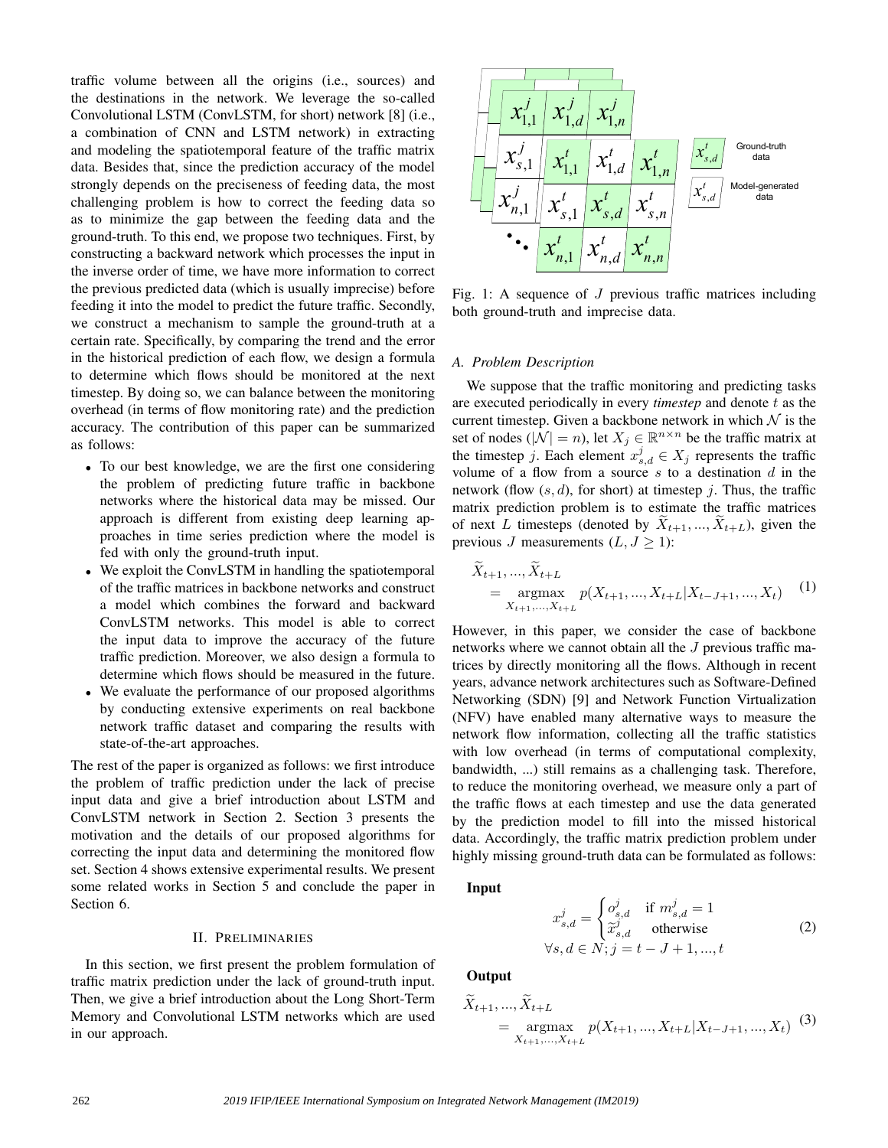traffic volume between all the origins (i.e., sources) and the destinations in the network. We leverage the so-called Convolutional LSTM (ConvLSTM, for short) network [8] (i.e., a combination of CNN and LSTM network) in extracting and modeling the spatiotemporal feature of the traffic matrix data. Besides that, since the prediction accuracy of the model strongly depends on the preciseness of feeding data, the most challenging problem is how to correct the feeding data so as to minimize the gap between the feeding data and the ground-truth. To this end, we propose two techniques. First, by constructing a backward network which processes the input in the inverse order of time, we have more information to correct the previous predicted data (which is usually imprecise) before feeding it into the model to predict the future traffic. Secondly, we construct a mechanism to sample the ground-truth at a certain rate. Specifically, by comparing the trend and the error in the historical prediction of each flow, we design a formula to determine which flows should be monitored at the next timestep. By doing so, we can balance between the monitoring overhead (in terms of flow monitoring rate) and the prediction accuracy. The contribution of this paper can be summarized as follows:

- To our best knowledge, we are the first one considering the problem of predicting future traffic in backbone networks where the historical data may be missed. Our approach is different from existing deep learning approaches in time series prediction where the model is fed with only the ground-truth input.
- We exploit the ConvLSTM in handling the spatiotemporal of the traffic matrices in backbone networks and construct a model which combines the forward and backward ConvLSTM networks. This model is able to correct the input data to improve the accuracy of the future traffic prediction. Moreover, we also design a formula to determine which flows should be measured in the future.
- We evaluate the performance of our proposed algorithms by conducting extensive experiments on real backbone network traffic dataset and comparing the results with state-of-the-art approaches.

The rest of the paper is organized as follows: we first introduce the problem of traffic prediction under the lack of precise input data and give a brief introduction about LSTM and ConvLSTM network in Section 2. Section 3 presents the motivation and the details of our proposed algorithms for correcting the input data and determining the monitored flow set. Section 4 shows extensive experimental results. We present some related works in Section 5 and conclude the paper in Section 6.

# II. PRELIMINARIES

In this section, we first present the problem formulation of traffic matrix prediction under the lack of ground-truth input. Then, we give a brief introduction about the Long Short-Term Memory and Convolutional LSTM networks which are used in our approach.



Fig. 1: A sequence of  $J$  previous traffic matrices including both ground-truth and imprecise data.

#### *A. Problem Description*

We suppose that the traffic monitoring and predicting tasks are executed periodically in every *timestep* and denote t as the current timestep. Given a backbone network in which  $N$  is the set of nodes ( $|\mathcal{N}| = n$ ), let  $X_j \in \mathbb{R}^{n \times n}$  be the traffic matrix at the timestep j. Each element  $x_{s,d}^j \in X_j$  represents the traffic volume of a flow from a source s to a destination  $d$  in the network (flow  $(s, d)$ , for short) at timestep j. Thus, the traffic matrix prediction problem is to estimate the traffic matrices of next L timesteps (denoted by  $X_{t+1},...,X_{t+L}$ ), given the previous J measurements  $(L, J \ge 1)$ :

$$
\widetilde{X}_{t+1}, \ldots, \widetilde{X}_{t+L} = \underset{X_{t+1}, \ldots, X_{t+L}}{\operatorname{argmax}} p(X_{t+1}, \ldots, X_{t+L} | X_{t-J+1}, \ldots, X_t) \tag{1}
$$

However, in this paper, we consider the case of backbone networks where we cannot obtain all the J previous traffic matrices by directly monitoring all the flows. Although in recent years, advance network architectures such as Software-Defined Networking (SDN) [9] and Network Function Virtualization (NFV) have enabled many alternative ways to measure the network flow information, collecting all the traffic statistics with low overhead (in terms of computational complexity, bandwidth, ...) still remains as a challenging task. Therefore, to reduce the monitoring overhead, we measure only a part of the traffic flows at each timestep and use the data generated by the prediction model to fill into the missed historical data. Accordingly, the traffic matrix prediction problem under highly missing ground-truth data can be formulated as follows:

#### Input

$$
x_{s,d}^j = \begin{cases} o_{s,d}^j & \text{if } m_{s,d}^j = 1\\ \widetilde{x}_{s,d}^j & \text{otherwise} \end{cases}
$$
  
\n
$$
\forall s, d \in N; j = t - J + 1, ..., t
$$
 (2)

**Output** 

$$
\widetilde{X}_{t+1}, \dots, \widetilde{X}_{t+L} = \underset{X_{t+1}, \dots, X_{t+L}}{\operatorname{argmax}} p(X_{t+1}, \dots, X_{t+L} | X_{t-J+1}, \dots, X_t) \tag{3}
$$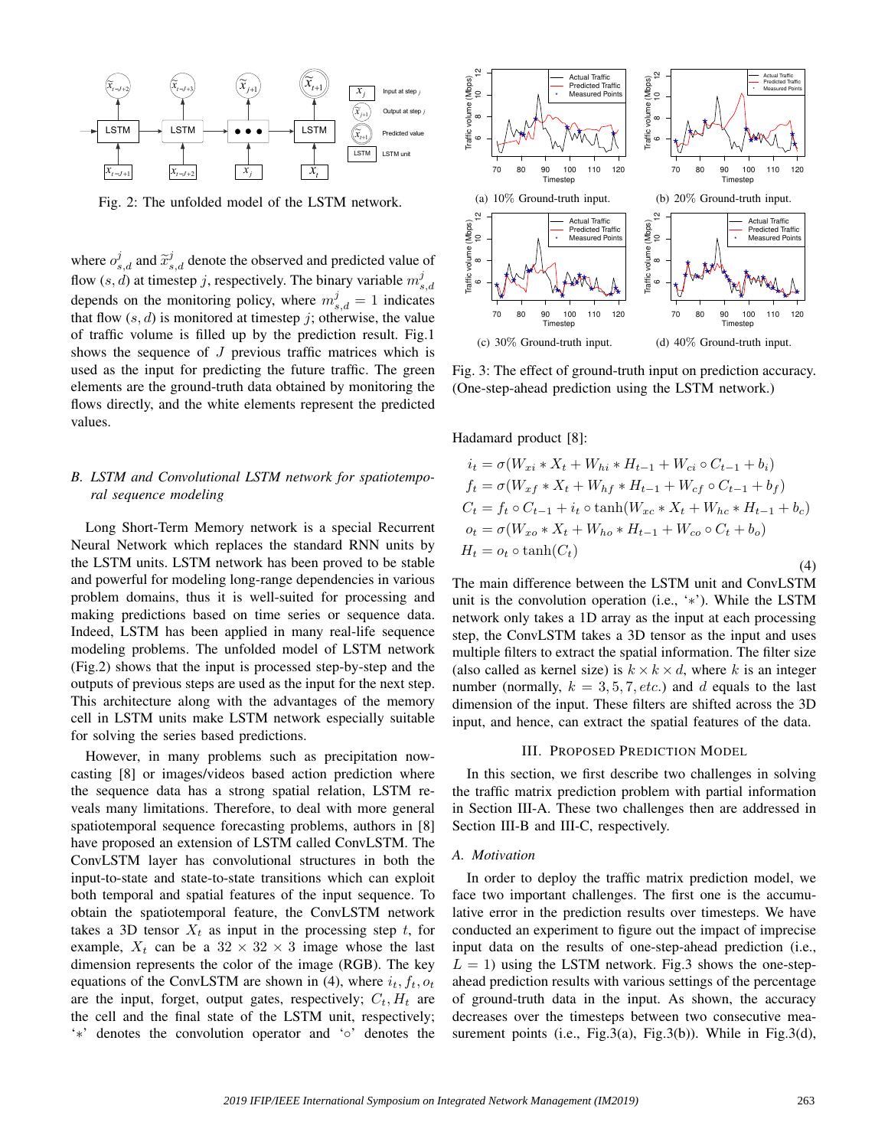

Fig. 2: The unfolded model of the LSTM network.

where  $o_{s,d}^j$  and  $\tilde{x}_{s,d}^j$  denote the observed and predicted value of flow  $(s, d)$  at timestep j, respectively. The binary variable  $m_{s,d}^j$ depends on the monitoring policy, where  $m_{s,d}^j = 1$  indicates that flow  $(s, d)$  is monitored at timestep j; otherwise, the value of traffic volume is filled up by the prediction result. Fig.1 shows the sequence of  $J$  previous traffic matrices which is used as the input for predicting the future traffic. The green elements are the ground-truth data obtained by monitoring the flows directly, and the white elements represent the predicted values.

# *B. LSTM and Convolutional LSTM network for spatiotemporal sequence modeling*

Long Short-Term Memory network is a special Recurrent Neural Network which replaces the standard RNN units by the LSTM units. LSTM network has been proved to be stable and powerful for modeling long-range dependencies in various problem domains, thus it is well-suited for processing and making predictions based on time series or sequence data. Indeed, LSTM has been applied in many real-life sequence modeling problems. The unfolded model of LSTM network (Fig.2) shows that the input is processed step-by-step and the outputs of previous steps are used as the input for the next step. This architecture along with the advantages of the memory cell in LSTM units make LSTM network especially suitable for solving the series based predictions.

However, in many problems such as precipitation nowcasting [8] or images/videos based action prediction where the sequence data has a strong spatial relation, LSTM reveals many limitations. Therefore, to deal with more general spatiotemporal sequence forecasting problems, authors in [8] have proposed an extension of LSTM called ConvLSTM. The ConvLSTM layer has convolutional structures in both the input-to-state and state-to-state transitions which can exploit both temporal and spatial features of the input sequence. To obtain the spatiotemporal feature, the ConvLSTM network takes a 3D tensor  $X_t$  as input in the processing step t, for example,  $X_t$  can be a  $32 \times 32 \times 3$  image whose the last dimension represents the color of the image (RGB). The key equations of the ConvLSTM are shown in (4), where  $i_t$ ,  $f_t$ ,  $o_t$ are the input, forget, output gates, respectively;  $C_t$ ,  $H_t$  are the cell and the final state of the LSTM unit, respectively; '∗' denotes the convolution operator and '◦' denotes the



Fig. 3: The effect of ground-truth input on prediction accuracy. (One-step-ahead prediction using the LSTM network.)

Hadamard product [8]:

$$
i_t = \sigma(W_{xi} * X_t + W_{hi} * H_{t-1} + W_{ci} \circ C_{t-1} + b_i)
$$
  
\n
$$
f_t = \sigma(W_{xf} * X_t + W_{hf} * H_{t-1} + W_{cf} \circ C_{t-1} + b_f)
$$
  
\n
$$
C_t = f_t \circ C_{t-1} + i_t \circ \tanh(W_{xc} * X_t + W_{hc} * H_{t-1} + b_c)
$$
  
\n
$$
o_t = \sigma(W_{xo} * X_t + W_{ho} * H_{t-1} + W_{co} \circ C_t + b_o)
$$
  
\n
$$
H_t = o_t \circ \tanh(C_t)
$$
\n(4)

The main difference between the LSTM unit and ConvLSTM unit is the convolution operation (i.e., '∗'). While the LSTM network only takes a 1D array as the input at each processing step, the ConvLSTM takes a 3D tensor as the input and uses multiple filters to extract the spatial information. The filter size (also called as kernel size) is  $k \times k \times d$ , where k is an integer number (normally,  $k = 3, 5, 7, etc.$ ) and d equals to the last dimension of the input. These filters are shifted across the 3D input, and hence, can extract the spatial features of the data.

## III. PROPOSED PREDICTION MODEL

In this section, we first describe two challenges in solving the traffic matrix prediction problem with partial information in Section III-A. These two challenges then are addressed in Section III-B and III-C, respectively.

#### *A. Motivation*

In order to deploy the traffic matrix prediction model, we face two important challenges. The first one is the accumulative error in the prediction results over timesteps. We have conducted an experiment to figure out the impact of imprecise input data on the results of one-step-ahead prediction (i.e.,  $L = 1$ ) using the LSTM network. Fig.3 shows the one-stepahead prediction results with various settings of the percentage of ground-truth data in the input. As shown, the accuracy decreases over the timesteps between two consecutive measurement points (i.e., Fig.3(a), Fig.3(b)). While in Fig.3(d),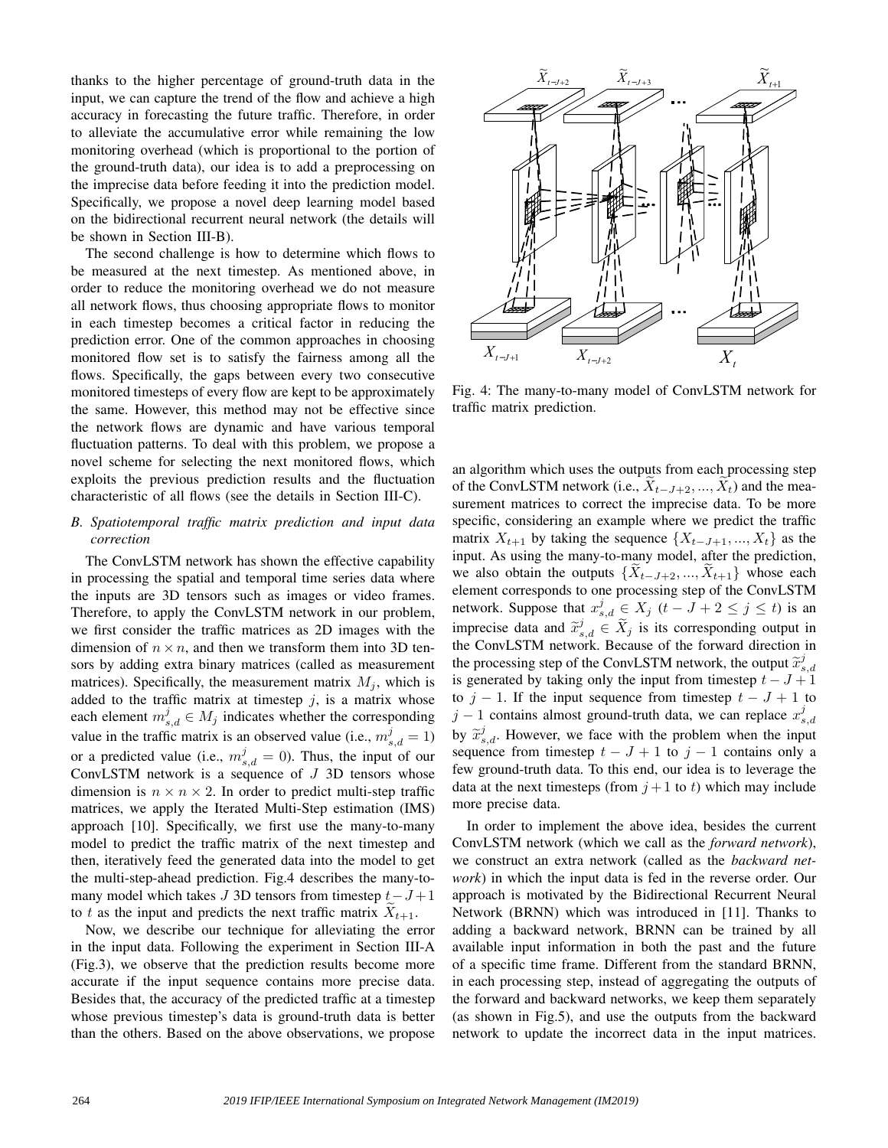thanks to the higher percentage of ground-truth data in the input, we can capture the trend of the flow and achieve a high accuracy in forecasting the future traffic. Therefore, in order to alleviate the accumulative error while remaining the low monitoring overhead (which is proportional to the portion of the ground-truth data), our idea is to add a preprocessing on the imprecise data before feeding it into the prediction model. Specifically, we propose a novel deep learning model based on the bidirectional recurrent neural network (the details will be shown in Section III-B).

The second challenge is how to determine which flows to be measured at the next timestep. As mentioned above, in order to reduce the monitoring overhead we do not measure all network flows, thus choosing appropriate flows to monitor in each timestep becomes a critical factor in reducing the prediction error. One of the common approaches in choosing monitored flow set is to satisfy the fairness among all the flows. Specifically, the gaps between every two consecutive monitored timesteps of every flow are kept to be approximately the same. However, this method may not be effective since the network flows are dynamic and have various temporal fluctuation patterns. To deal with this problem, we propose a novel scheme for selecting the next monitored flows, which exploits the previous prediction results and the fluctuation characteristic of all flows (see the details in Section III-C).

# *B. Spatiotemporal traffic matrix prediction and input data correction*

The ConvLSTM network has shown the effective capability in processing the spatial and temporal time series data where the inputs are 3D tensors such as images or video frames. Therefore, to apply the ConvLSTM network in our problem, we first consider the traffic matrices as 2D images with the dimension of  $n \times n$ , and then we transform them into 3D tensors by adding extra binary matrices (called as measurement matrices). Specifically, the measurement matrix  $M_i$ , which is added to the traffic matrix at timestep  $j$ , is a matrix whose each element  $m_{s,d}^j \in M_j$  indicates whether the corresponding value in the traffic matrix is an observed value (i.e.,  $m_{s,d}^{j} = 1$ ) or a predicted value (i.e.,  $m_{s,d}^j = 0$ ). Thus, the input of our ConvLSTM network is a sequence of  $J$  3D tensors whose dimension is  $n \times n \times 2$ . In order to predict multi-step traffic matrices, we apply the Iterated Multi-Step estimation (IMS) approach [10]. Specifically, we first use the many-to-many model to predict the traffic matrix of the next timestep and then, iteratively feed the generated data into the model to get the multi-step-ahead prediction. Fig.4 describes the many-tomany model which takes J 3D tensors from timestep  $t-J+1$ to t as the input and predicts the next traffic matrix  $X_{t+1}$ .

Now, we describe our technique for alleviating the error in the input data. Following the experiment in Section III-A (Fig.3), we observe that the prediction results become more accurate if the input sequence contains more precise data. Besides that, the accuracy of the predicted traffic at a timestep whose previous timestep's data is ground-truth data is better than the others. Based on the above observations, we propose



Fig. 4: The many-to-many model of ConvLSTM network for traffic matrix prediction.

an algorithm which uses the outputs from each processing step of the ConvLSTM network (i.e.,  $X_{t-J+2}, ..., X_t$ ) and the measurement matrices to correct the imprecise data. To be more specific, considering an example where we predict the traffic matrix  $X_{t+1}$  by taking the sequence  $\{X_{t-J+1}, ..., X_t\}$  as the input. As using the many-to-many model, after the prediction, we also obtain the outputs  $\{X_{t-J+2}, ..., X_{t+1}\}$  whose each element corresponds to one processing step of the ConvLSTM network. Suppose that  $x_{s,d}^j \in X_j$   $(t - J + 2 \le j \le t)$  is an imprecise data and  $\tilde{x}_{s,d}^j \in \tilde{X}_j$  is its corresponding output in the ConvI STM network. Because of the forward direction in the ConvLSTM network. Because of the forward direction in the processing step of the ConvLSTM network, the output  $\tilde{x}_{s,d}^{j}$ is generated by taking only the input from timestep  $t - J + 1$ to  $j - 1$ . If the input sequence from timestep  $t - J + 1$  to  $j-1$  contains almost ground-truth data, we can replace  $x_{s,d}^j$ by  $\tilde{x}_{s,d}^j$ . However, we face with the problem when the input sequence from timestep  $t - J + 1$  to  $j - 1$  contains only a few ground-truth data. To this end, our idea is to leverage the data at the next timesteps (from  $j+1$  to t) which may include more precise data.

In order to implement the above idea, besides the current ConvLSTM network (which we call as the *forward network*), we construct an extra network (called as the *backward network*) in which the input data is fed in the reverse order. Our approach is motivated by the Bidirectional Recurrent Neural Network (BRNN) which was introduced in [11]. Thanks to adding a backward network, BRNN can be trained by all available input information in both the past and the future of a specific time frame. Different from the standard BRNN, in each processing step, instead of aggregating the outputs of the forward and backward networks, we keep them separately (as shown in Fig.5), and use the outputs from the backward network to update the incorrect data in the input matrices.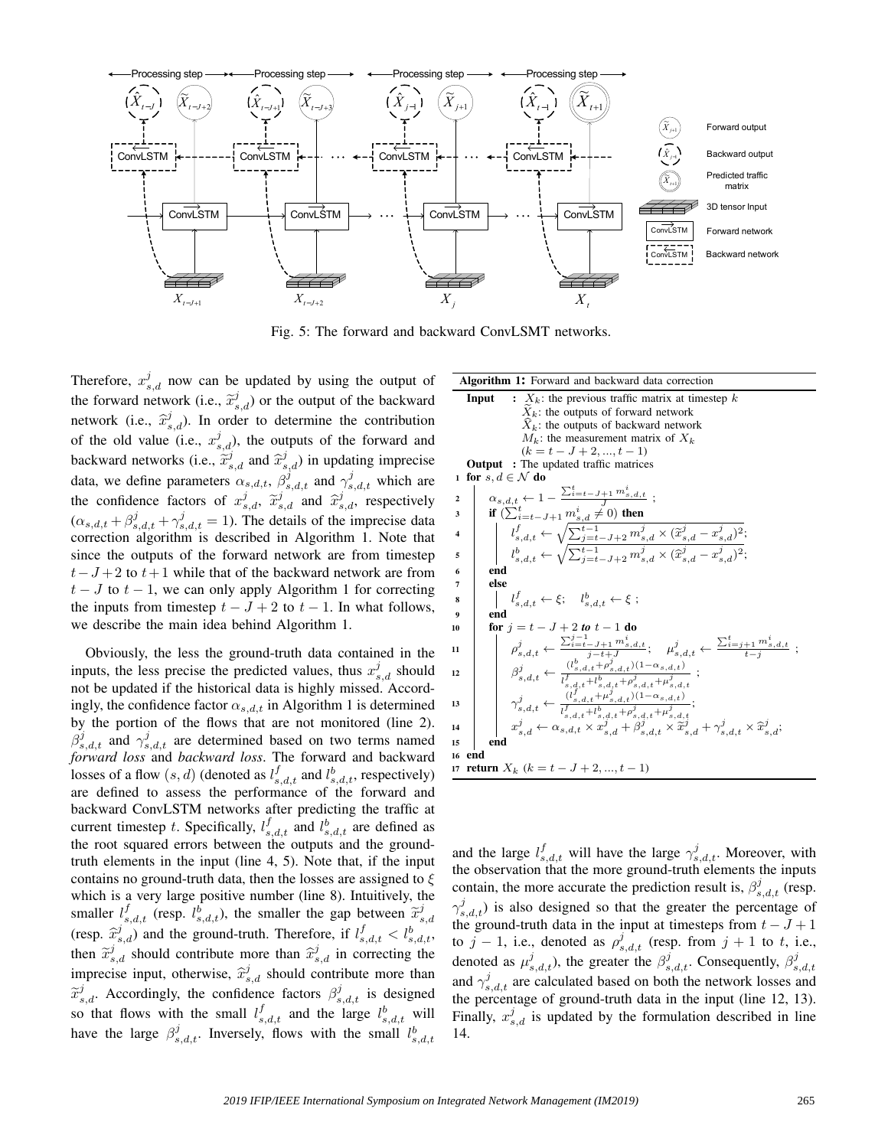

Fig. 5: The forward and backward ConvLSMT networks.

Therefore,  $x_{s,d}^j$  now can be updated by using the output of the forward network (i.e.,  $\tilde{x}_{s,d}^j$ ) or the output of the backward network (i.e.,  $\hat{x}^j_{s,d}$ ). In order to determine the contribution of the old value (i.e.,  $x_{s,d}^j$ ), the outputs of the forward and backward networks (i.e.,  $\tilde{x}_{s,d}^j$  and  $\hat{x}_{s,d}^j$ ) in updating imprecise data, we define parameters  $\alpha_{s,d,t}$ ,  $\beta_{s,d,t}^{j}$  and  $\gamma_{s,d,t}^{j}$  which are the confidence factors of  $x_{s,d}^j$ ,  $\tilde{x}_{s,d}^j$  and  $\hat{x}_{s,d}^j$ , respectively  $(\alpha_{s,d,t} + \beta_{s,d,t}^j + \gamma_{s,d,t}^j = 1)$ . The details of the imprecise data correction algorithm is described in Algorithm 1. Note that since the outputs of the forward network are from timestep  $t-J+2$  to  $t+1$  while that of the backward network are from  $t - J$  to  $t - 1$ , we can only apply Algorithm 1 for correcting the inputs from timestep  $t - J + 2$  to  $t - 1$ . In what follows, we describe the main idea behind Algorithm 1.

Obviously, the less the ground-truth data contained in the inputs, the less precise the predicted values, thus  $x_{s,d}^j$  should not be updated if the historical data is highly missed. Accordingly, the confidence factor  $\alpha_{s,d,t}$  in Algorithm 1 is determined by the portion of the flows that are not monitored (line 2).  $\beta_{s,d,t}^{j}$  and  $\gamma_{s,d,t}^{j}$  are determined based on two terms named *forward loss* and *backward loss*. The forward and backward losses of a flow  $(s, d)$  (denoted as  $l_{s,d,t}^f$  and  $l_{s,d,t}^b$ , respectively) are defined to assess the performance of the forward and backward ConvLSTM networks after predicting the traffic at current timestep t. Specifically,  $l_{s,d,t}^f$  and  $l_{s,d,t}^b$  are defined as the root squared errors between the outputs and the groundtruth elements in the input (line 4, 5). Note that, if the input contains no ground-truth data, then the losses are assigned to  $\xi$ which is a very large positive number (line 8). Intuitively, the smaller  $l_s^f$  (resp.  $l_s^f$ ), the smaller the gap between  $\tilde{x}_{s,d}^j$ (resp.  $\hat{x}_{s,d}^j$ ) and the ground-truth. Therefore, if  $l_{s,d,t}^f < l_{s,d,t}^b$ , then  $\tilde{x}_{s,d}^j$  should contribute more than  $\hat{x}_{s,d}^j$  in correcting the imprecise input, otherwise,  $\hat{x}_{s,d}^j$  should contribute more than  $\widetilde{x}_{s,d,t}^j$ . Accordingly, the confidence factors  $\beta_{s,d,t}^j$  is designed so that flows with the small  $l_{s,d,t}^f$  and the large  $l_{s,d,t}^b$  will have the large  $\beta_{s,d,t}^j$ . Inversely, flows with the small  $l_{s,d,t}^b$ 

| <b>Algorithm 1:</b> Forward and backward data correction                                                                                                                                                                                                                                                 |
|----------------------------------------------------------------------------------------------------------------------------------------------------------------------------------------------------------------------------------------------------------------------------------------------------------|
| $X_k$ : the previous traffic matrix at timestep k<br>Input                                                                                                                                                                                                                                               |
| $X_k$ : the outputs of forward network                                                                                                                                                                                                                                                                   |
| $X_k$ : the outputs of backward network                                                                                                                                                                                                                                                                  |
| $M_k$ : the measurement matrix of $X_k$                                                                                                                                                                                                                                                                  |
| $(k = t - J + 2, , t - 1)$                                                                                                                                                                                                                                                                               |
| <b>Output</b> : The updated traffic matrices                                                                                                                                                                                                                                                             |
| for $s, d \in \mathcal{N}$ do<br>$\mathbf{1}$                                                                                                                                                                                                                                                            |
| $\alpha_{s,d,t} \leftarrow 1 - \frac{\sum_{i=t-J+1}^{t} m_{s,d,t}^i}{J} ;$ if $(\sum_{i=t-J+1}^{t} m_{s,d}^i \neq 0)$ then<br>$\mathbf{2}$                                                                                                                                                               |
| 3                                                                                                                                                                                                                                                                                                        |
| $\begin{cases} l_s^f & l_s^f\\ l_{s,d,t}^f \leftarrow \sqrt{\sum_{j=t-J+2}^{t-1} m_{s,d}^j \times (\tilde{x}_{s,d}^j - x_{s,d}^j)^2},\\ l_{s,d,t}^b \leftarrow \sqrt{\sum_{j=t-J+2}^{t-1} m_{s,d}^j \times (\tilde{x}_{s,d}^j - x_{s,d}^j)^2}; \end{cases}$<br>4                                         |
| 5                                                                                                                                                                                                                                                                                                        |
| end<br>6                                                                                                                                                                                                                                                                                                 |
| else<br>7                                                                                                                                                                                                                                                                                                |
| $l_{s,d,t}^f \leftarrow \xi$ ; $l_{s,d,t}^b \leftarrow \xi$ ;<br>8                                                                                                                                                                                                                                       |
| end<br>9                                                                                                                                                                                                                                                                                                 |
| for $j = t - J + 2$ to $t - 1$ do<br>10                                                                                                                                                                                                                                                                  |
| $\rho_{s,d,t}^{j} \leftarrow \frac{\sum_{i=t-J+1}^{j-1} m_{s,d,t}^{i}}{i-t+J}; \quad \mu_{s,d,t}^{j} \leftarrow \frac{\sum_{i=j+1}^{t} m_{s,d,t}^{i}}{t-i}$<br>11                                                                                                                                        |
| $\left\{\begin{array}{c} \beta_{s,d,t}^j \leftarrow \frac{(l_{s,d,t}^b+l_{s,d,t}^{j^*})^2}{l_{s,d,t}^f+l_{s,d,t}^b+l_{s,d,t}^{j^*}+ \mu_{s,d,t}^j} \; ; \\ \gamma_{s,d,t}^j \leftarrow \frac{(l_{s,d,t}^f+l_{s,d,t}^{j^*})^2}{l_{s,d,t}^f+l_{s,d,t}^{j^*}+ \mu_{s,d,t}^j} ; \\ \end{array}\right.$<br>12 |
| 13                                                                                                                                                                                                                                                                                                       |
| $x_{s,d}^j \leftarrow \alpha_{s,d,t} \times x_{s,d}^j + \beta_{s,d,t}^j \times \widetilde{x}_{s,d}^j + \gamma_{s,d,t}^j \times \widehat{x}_{s,d}^j;$<br>14                                                                                                                                               |
| end<br>15                                                                                                                                                                                                                                                                                                |
| 16<br>end                                                                                                                                                                                                                                                                                                |
| 17 <b>return</b> $X_k$ $(k = t - J + 2, , t - 1)$                                                                                                                                                                                                                                                        |

and the large  $l_{s,d,t}^f$  will have the large  $\gamma_{s,d,t}^j$ . Moreover, with the observation that the more ground-truth elements the inputs contain, the more accurate the prediction result is,  $\beta_{s,d,t}^{j}$  (resp.  $\gamma_{s,d,t}^{j}$ ) is also designed so that the greater the percentage of the ground-truth data in the input at timesteps from  $t - J + 1$ to  $j-1$ , i.e., denoted as  $\rho_{s,d,t}^j$  (resp. from  $j+1$  to t, i.e., denoted as  $\mu_{s,d,t}^j$ ), the greater the  $\beta_{s,d,t}^j$ . Consequently,  $\beta_{s,d,t}^j$ and  $\gamma_{s,d,t}^j$  are calculated based on both the network losses and the percentage of ground-truth data in the input (line 12, 13). Finally,  $x_{s,d}^j$  is updated by the formulation described in line 14.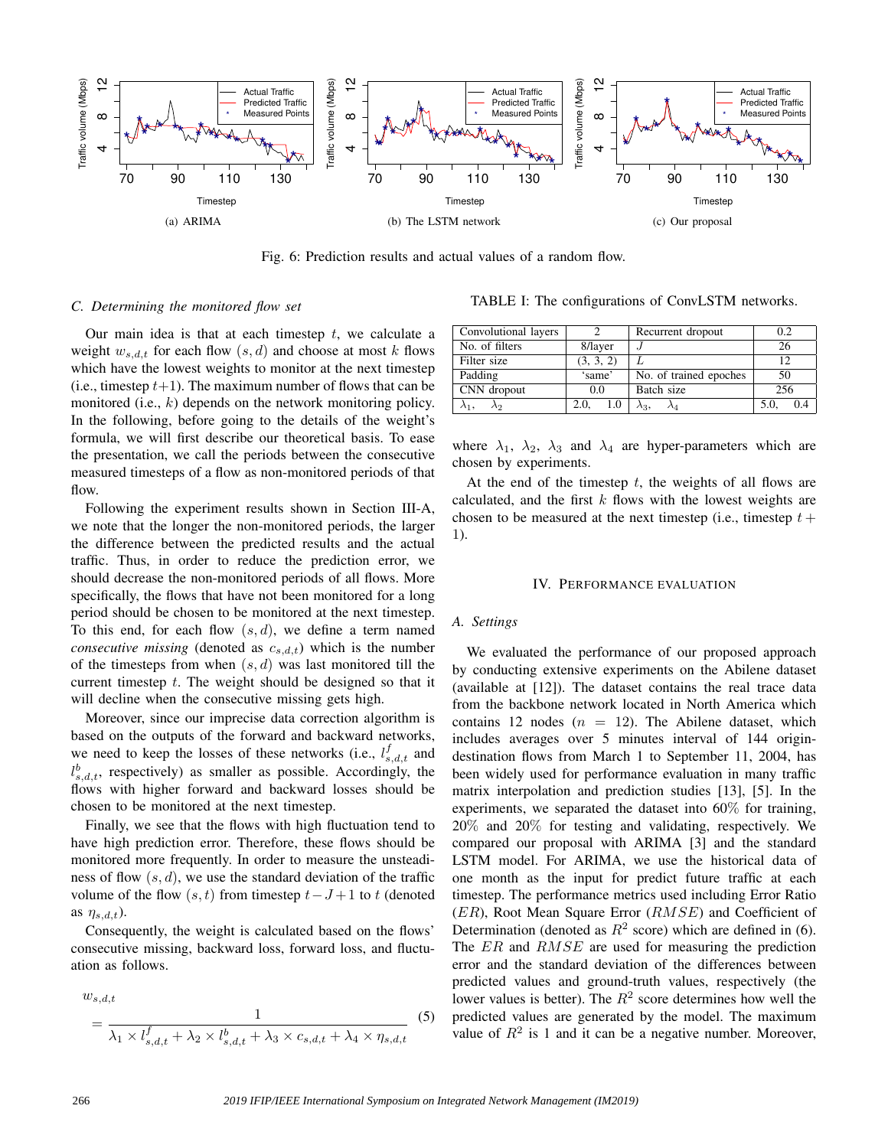

Fig. 6: Prediction results and actual values of a random flow.

### *C. Determining the monitored flow set*

Our main idea is that at each timestep  $t$ , we calculate a weight  $w_{s,d,t}$  for each flow  $(s, d)$  and choose at most k flows which have the lowest weights to monitor at the next timestep (i.e., timestep  $t+1$ ). The maximum number of flows that can be monitored (i.e.,  $k$ ) depends on the network monitoring policy. In the following, before going to the details of the weight's formula, we will first describe our theoretical basis. To ease the presentation, we call the periods between the consecutive measured timesteps of a flow as non-monitored periods of that flow.

Following the experiment results shown in Section III-A, we note that the longer the non-monitored periods, the larger the difference between the predicted results and the actual traffic. Thus, in order to reduce the prediction error, we should decrease the non-monitored periods of all flows. More specifically, the flows that have not been monitored for a long period should be chosen to be monitored at the next timestep. To this end, for each flow  $(s, d)$ , we define a term named *consecutive missing* (denoted as  $c_{s,d,t}$ ) which is the number of the timesteps from when  $(s, d)$  was last monitored till the current timestep  $t$ . The weight should be designed so that it will decline when the consecutive missing gets high.

Moreover, since our imprecise data correction algorithm is based on the outputs of the forward and backward networks, we need to keep the losses of these networks (i.e.,  $l_{s,d,t}^f$  and  $l_{s,d,t}^b$ , respectively) as smaller as possible. Accordingly, the flows with higher forward and backward losses should be chosen to be monitored at the next timestep.

Finally, we see that the flows with high fluctuation tend to have high prediction error. Therefore, these flows should be monitored more frequently. In order to measure the unsteadiness of flow  $(s, d)$ , we use the standard deviation of the traffic volume of the flow  $(s, t)$  from timestep  $t-J+1$  to t (denoted as  $\eta_{s,d,t}$ ).

Consequently, the weight is calculated based on the flows' consecutive missing, backward loss, forward loss, and fluctuation as follows.

$$
w_{s,d,t}
$$
\n
$$
= \frac{1}{\lambda_1 \times l_{s,d,t}^f + \lambda_2 \times l_{s,d,t}^b + \lambda_3 \times c_{s,d,t} + \lambda_4 \times \eta_{s,d,t}} \tag{5}
$$

TABLE I: The configurations of ConvLSTM networks.

| Convolutional layers |             | Recurrent dropout      | 02            |
|----------------------|-------------|------------------------|---------------|
| No. of filters       | 8/layer     |                        | 26            |
| Filter size          | (3, 3, 2)   |                        | 12            |
| Padding              | 'same'      | No. of trained epoches | 50            |
| CNN dropout          | 0.0         | Batch size             | 256           |
| ΛD                   | 2.0.<br>1.0 | $\lambda_3,$           | 5.0.<br>(0.4) |

where  $\lambda_1$ ,  $\lambda_2$ ,  $\lambda_3$  and  $\lambda_4$  are hyper-parameters which are chosen by experiments.

At the end of the timestep  $t$ , the weights of all flows are calculated, and the first  $k$  flows with the lowest weights are chosen to be measured at the next timestep (i.e., timestep  $t +$ 1).

#### IV. PERFORMANCE EVALUATION

## *A. Settings*

We evaluated the performance of our proposed approach by conducting extensive experiments on the Abilene dataset (available at [12]). The dataset contains the real trace data from the backbone network located in North America which contains 12 nodes  $(n = 12)$ . The Abilene dataset, which includes averages over 5 minutes interval of 144 origindestination flows from March 1 to September 11, 2004, has been widely used for performance evaluation in many traffic matrix interpolation and prediction studies [13], [5]. In the experiments, we separated the dataset into 60% for training, 20% and 20% for testing and validating, respectively. We compared our proposal with ARIMA [3] and the standard LSTM model. For ARIMA, we use the historical data of one month as the input for predict future traffic at each timestep. The performance metrics used including Error Ratio  $(ER)$ , Root Mean Square Error  $(RMSE)$  and Coefficient of Determination (denoted as  $R^2$  score) which are defined in (6). The ER and RMSE are used for measuring the prediction error and the standard deviation of the differences between predicted values and ground-truth values, respectively (the lower values is better). The  $R^2$  score determines how well the predicted values are generated by the model. The maximum value of  $R^2$  is 1 and it can be a negative number. Moreover,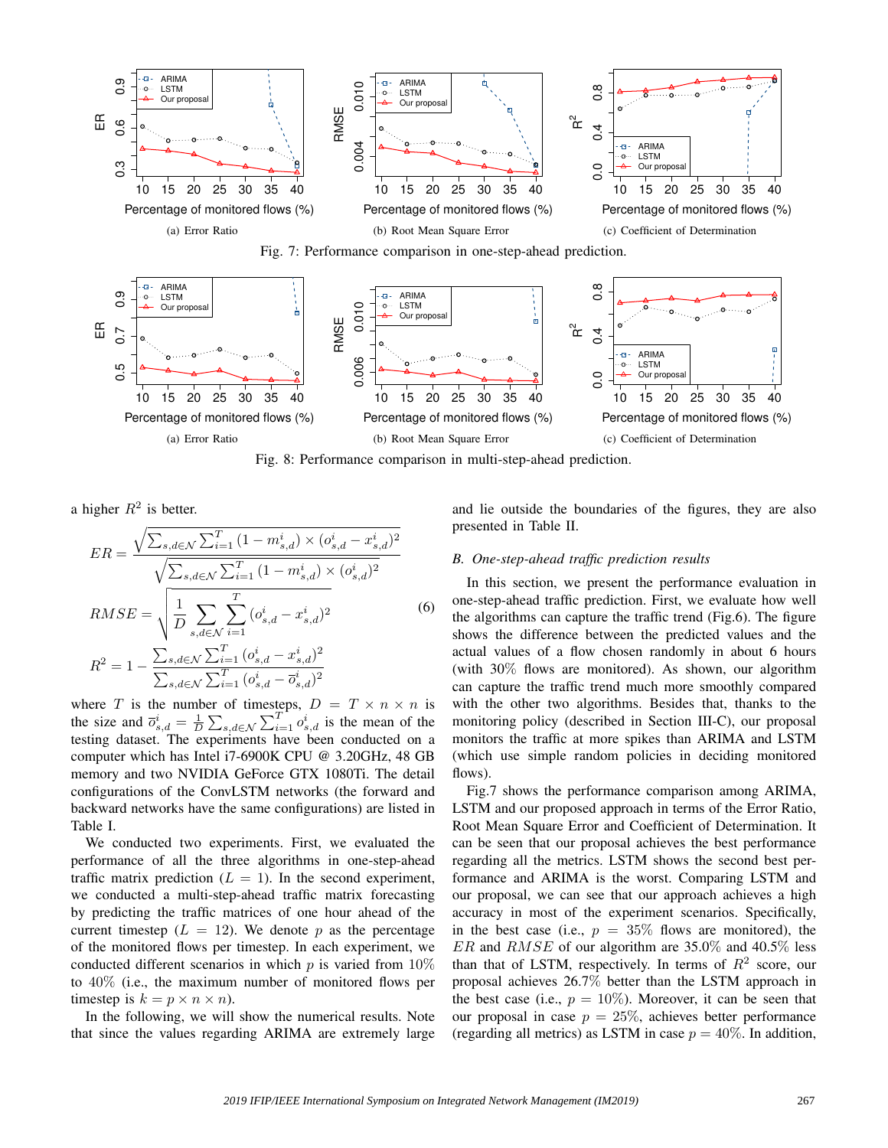



Fig. 8: Performance comparison in multi-step-ahead prediction.

a higher  $R^2$  is better.

$$
ER = \frac{\sqrt{\sum_{s,d \in \mathcal{N}} \sum_{i=1}^{T} (1 - m_{s,d}^{i}) \times (o_{s,d}^{i} - x_{s,d}^{i})^2}}{\sqrt{\sum_{s,d \in \mathcal{N}} \sum_{i=1}^{T} (1 - m_{s,d}^{i}) \times (o_{s,d}^{i})^2}}
$$

$$
RMSE = \sqrt{\frac{1}{D} \sum_{s,d \in \mathcal{N}} \sum_{i=1}^{T} (o_{s,d}^{i} - x_{s,d}^{i})^2}
$$

$$
R^2 = 1 - \frac{\sum_{s,d \in \mathcal{N}} \sum_{i=1}^{T} (o_{s,d}^{i} - x_{s,d}^{i})^2}{\sum_{s,d \in \mathcal{N}} \sum_{i=1}^{T} (o_{s,d}^{i} - \overline{o}_{s,d}^{i})^2}
$$
(6)

where T is the number of timesteps,  $D = T \times n \times n$  is the size and  $\overline{o}_{s,d}^i = \frac{1}{D} \sum_{s,d \in \mathcal{N}} \sum_{i=1}^T o_{s,d}^i$  is the mean of the testing dataset. The experiments have been conducted on a computer which has Intel i7-6900K CPU @ 3.20GHz, 48 GB memory and two NVIDIA GeForce GTX 1080Ti. The detail configurations of the ConvLSTM networks (the forward and backward networks have the same configurations) are listed in Table I.

We conducted two experiments. First, we evaluated the performance of all the three algorithms in one-step-ahead traffic matrix prediction  $(L = 1)$ . In the second experiment, we conducted a multi-step-ahead traffic matrix forecasting by predicting the traffic matrices of one hour ahead of the current timestep  $(L = 12)$ . We denote p as the percentage of the monitored flows per timestep. In each experiment, we conducted different scenarios in which  $p$  is varied from  $10\%$ to 40% (i.e., the maximum number of monitored flows per timestep is  $k = p \times n \times n$ ).

In the following, we will show the numerical results. Note that since the values regarding ARIMA are extremely large and lie outside the boundaries of the figures, they are also presented in Table II.

# *B. One-step-ahead traffic prediction results*

In this section, we present the performance evaluation in one-step-ahead traffic prediction. First, we evaluate how well the algorithms can capture the traffic trend (Fig.6). The figure shows the difference between the predicted values and the actual values of a flow chosen randomly in about 6 hours (with 30% flows are monitored). As shown, our algorithm can capture the traffic trend much more smoothly compared with the other two algorithms. Besides that, thanks to the monitoring policy (described in Section III-C), our proposal monitors the traffic at more spikes than ARIMA and LSTM (which use simple random policies in deciding monitored flows).

Fig.7 shows the performance comparison among ARIMA, LSTM and our proposed approach in terms of the Error Ratio, Root Mean Square Error and Coefficient of Determination. It can be seen that our proposal achieves the best performance regarding all the metrics. LSTM shows the second best performance and ARIMA is the worst. Comparing LSTM and our proposal, we can see that our approach achieves a high accuracy in most of the experiment scenarios. Specifically, in the best case (i.e.,  $p = 35\%$  flows are monitored), the  $ER$  and  $RMSE$  of our algorithm are 35.0% and 40.5% less than that of LSTM, respectively. In terms of  $R^2$  score, our proposal achieves 26.7% better than the LSTM approach in the best case (i.e.,  $p = 10\%$ ). Moreover, it can be seen that our proposal in case  $p = 25\%$ , achieves better performance (regarding all metrics) as LSTM in case  $p = 40\%$ . In addition,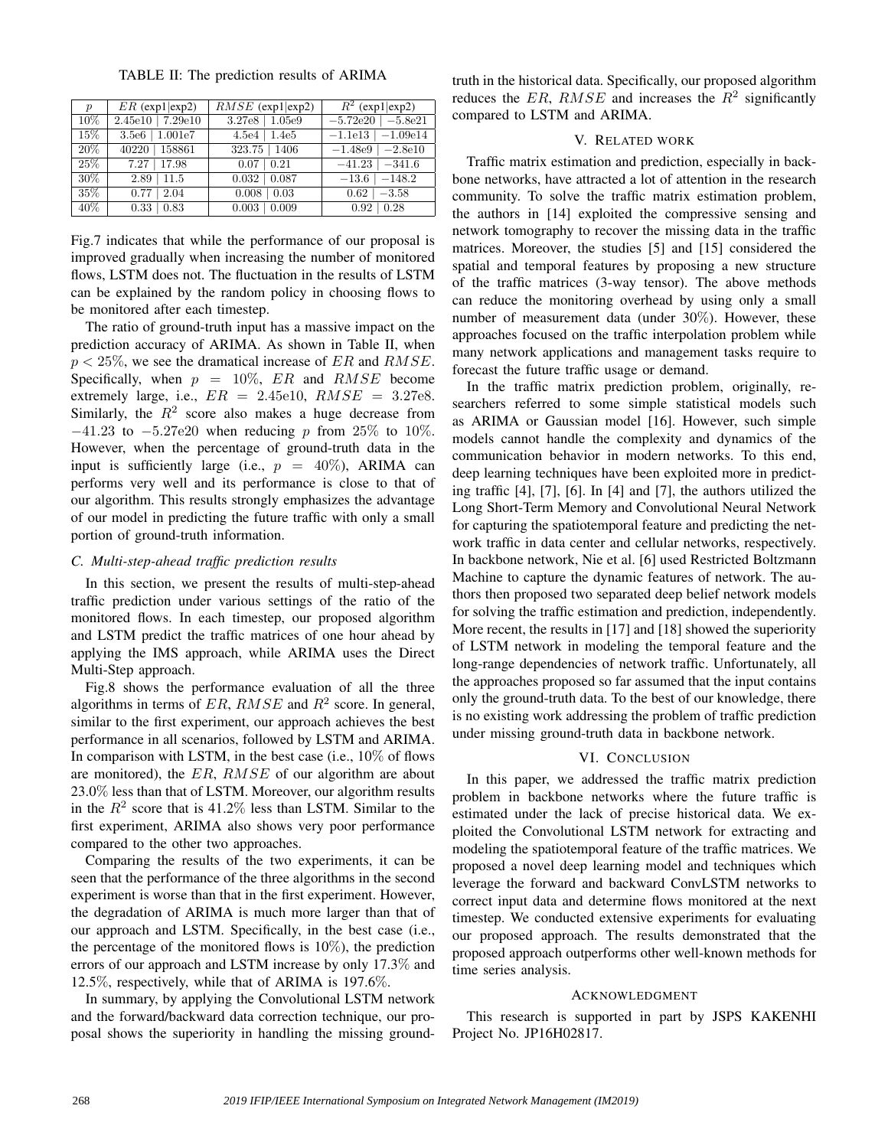TABLE II: The prediction results of ARIMA

| $\boldsymbol{p}$ | $ER$ (exp1 exp2)      | $RMSE$ (exp1 exp2)  | $R^2$ (exp1 exp2)       |
|------------------|-----------------------|---------------------|-------------------------|
| 10%              | $2.45e10$   $7.29e10$ | $3.27e8$   $1.05e9$ | $-5.72e20$<br>$-5.8e21$ |
| 15%              | $3.5e6$   $1.001e7$   | 1.4e5<br>4.5e4      | $-1.1e13$   $-1.09e14$  |
| 20%              | 158861<br>40220       | $323.75$   1406     | $-1.48e9$   $-2.8e10$   |
| 25%              | 7.27<br>17.98         | $\pm 0.21$<br>0.07  | $-41.23$<br>$-341.6$    |
| 30%              | $2.89$   11.5         | 0.087<br>0.032      | $-13.6$<br>$-148.2$     |
| 35%              | $\sqrt{2.04}$<br>0.77 | $\pm 0.03$<br>0.008 | $-3.58$<br>0.62         |
| 40%              | 0.83<br>0.33          | 0.009<br>0.003      | 0.28<br>0.92            |

Fig.7 indicates that while the performance of our proposal is improved gradually when increasing the number of monitored flows, LSTM does not. The fluctuation in the results of LSTM can be explained by the random policy in choosing flows to be monitored after each timestep.

The ratio of ground-truth input has a massive impact on the prediction accuracy of ARIMA. As shown in Table II, when  $p < 25\%$ , we see the dramatical increase of ER and RMSE. Specifically, when  $p = 10\%$ , ER and RMSE become extremely large, i.e.,  $ER = 2.45e10$ ,  $RMSE = 3.27e8$ . Similarly, the  $R^2$  score also makes a huge decrease from  $-41.23$  to  $-5.27e20$  when reducing p from 25% to 10%. However, when the percentage of ground-truth data in the input is sufficiently large (i.e.,  $p = 40\%$ ), ARIMA can performs very well and its performance is close to that of our algorithm. This results strongly emphasizes the advantage of our model in predicting the future traffic with only a small portion of ground-truth information.

#### *C. Multi-step-ahead traffic prediction results*

In this section, we present the results of multi-step-ahead traffic prediction under various settings of the ratio of the monitored flows. In each timestep, our proposed algorithm and LSTM predict the traffic matrices of one hour ahead by applying the IMS approach, while ARIMA uses the Direct Multi-Step approach.

Fig.8 shows the performance evaluation of all the three algorithms in terms of ER,  $RMSE$  and  $R^2$  score. In general, similar to the first experiment, our approach achieves the best performance in all scenarios, followed by LSTM and ARIMA. In comparison with LSTM, in the best case (i.e.,  $10\%$  of flows are monitored), the  $ER$ ,  $RMSE$  of our algorithm are about 23.0% less than that of LSTM. Moreover, our algorithm results in the  $R^2$  score that is 41.2% less than LSTM. Similar to the first experiment, ARIMA also shows very poor performance compared to the other two approaches.

Comparing the results of the two experiments, it can be seen that the performance of the three algorithms in the second experiment is worse than that in the first experiment. However, the degradation of ARIMA is much more larger than that of our approach and LSTM. Specifically, in the best case (i.e., the percentage of the monitored flows is  $10\%$ ), the prediction errors of our approach and LSTM increase by only 17.3% and 12.5%, respectively, while that of ARIMA is 197.6%.

In summary, by applying the Convolutional LSTM network and the forward/backward data correction technique, our proposal shows the superiority in handling the missing groundtruth in the historical data. Specifically, our proposed algorithm reduces the ER, RMSE and increases the  $R^2$  significantly compared to LSTM and ARIMA.

### V. RELATED WORK

Traffic matrix estimation and prediction, especially in backbone networks, have attracted a lot of attention in the research community. To solve the traffic matrix estimation problem, the authors in [14] exploited the compressive sensing and network tomography to recover the missing data in the traffic matrices. Moreover, the studies [5] and [15] considered the spatial and temporal features by proposing a new structure of the traffic matrices (3-way tensor). The above methods can reduce the monitoring overhead by using only a small number of measurement data (under 30%). However, these approaches focused on the traffic interpolation problem while many network applications and management tasks require to forecast the future traffic usage or demand.

In the traffic matrix prediction problem, originally, researchers referred to some simple statistical models such as ARIMA or Gaussian model [16]. However, such simple models cannot handle the complexity and dynamics of the communication behavior in modern networks. To this end, deep learning techniques have been exploited more in predicting traffic [4], [7], [6]. In [4] and [7], the authors utilized the Long Short-Term Memory and Convolutional Neural Network for capturing the spatiotemporal feature and predicting the network traffic in data center and cellular networks, respectively. In backbone network, Nie et al. [6] used Restricted Boltzmann Machine to capture the dynamic features of network. The authors then proposed two separated deep belief network models for solving the traffic estimation and prediction, independently. More recent, the results in [17] and [18] showed the superiority of LSTM network in modeling the temporal feature and the long-range dependencies of network traffic. Unfortunately, all the approaches proposed so far assumed that the input contains only the ground-truth data. To the best of our knowledge, there is no existing work addressing the problem of traffic prediction under missing ground-truth data in backbone network.

## VI. CONCLUSION

In this paper, we addressed the traffic matrix prediction problem in backbone networks where the future traffic is estimated under the lack of precise historical data. We exploited the Convolutional LSTM network for extracting and modeling the spatiotemporal feature of the traffic matrices. We proposed a novel deep learning model and techniques which leverage the forward and backward ConvLSTM networks to correct input data and determine flows monitored at the next timestep. We conducted extensive experiments for evaluating our proposed approach. The results demonstrated that the proposed approach outperforms other well-known methods for time series analysis.

# ACKNOWLEDGMENT

This research is supported in part by JSPS KAKENHI Project No. JP16H02817.